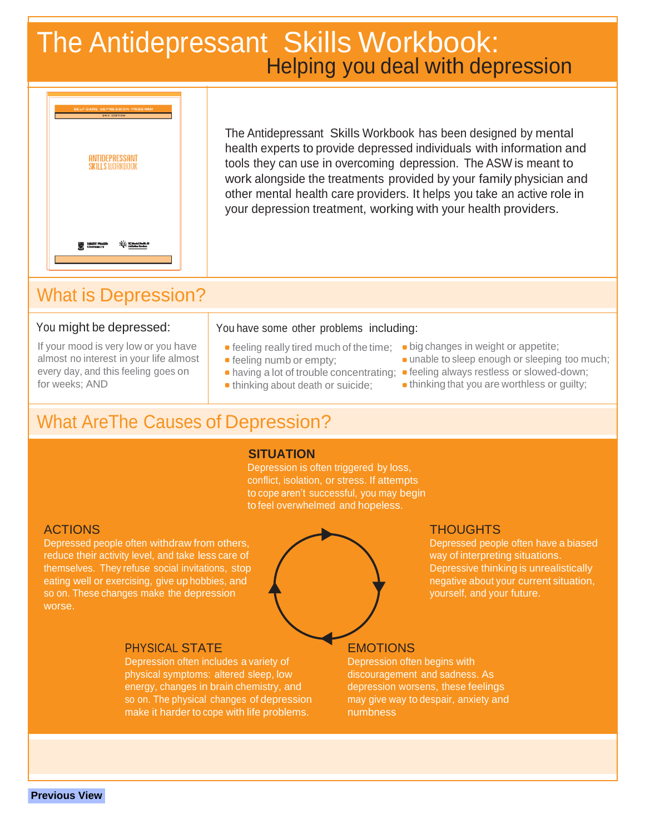# Helping you deal with depression The Antidepressant Skills Workbook:



The Antidepressant Skills Workbook has been designed by mental health experts to provide depressed individuals with information and tools they can use in overcoming depression. The ASW is meant to work alongside the treatments provided by your family physician and other mental health care providers. It helps you take an active role in your depression treatment, working with your health providers.

## What is Depression?

### You might be depressed:

If your mood is very low or you have almost no interest in your life almost every day, and this feeling goes on for weeks; AND

### You have some other problems including:

- 
- 
- 
- 
- **•** feeling really tired much of the time; big changes in weight or appetite;
- **feeling numb or empty; unable to sleep enough or sleeping too much;**
- having a lot of trouble concentrating; feeling always restless or slowed-down;
- thinking about death or suicide; thinking that you are worthless or guilty;

## What AreThe Causes of Depression?

### **SITUATION**

Depression is often triggered by loss, conflict, isolation, or stress. If attempts to cope aren't successful, you may begin to feel overwhelmed and hopeless.

Depressed people often withdraw from others, Depressed people often have a biased reduce their activity level, and take less care of way of interpreting situations. themselves. They refuse social invitations, stop **Depressive thinking is unrealistically** below the Depressive thinking is unrealistically eating well or exercising, give up hobbies, and negative about your current situation, so on. These changes make the depression your set of the system of the yourself, and your future. worse.

Depression often includes a variety of **Depression often begins with** physical symptoms: altered sleep, low discouragement and sadness. As energy, changes in brain chemistry, and depression worsens, these feelings so on. The physical changes of depression may give way to despair, anxiety and make it harder to cope with life problems. The numbness



**Previous View**